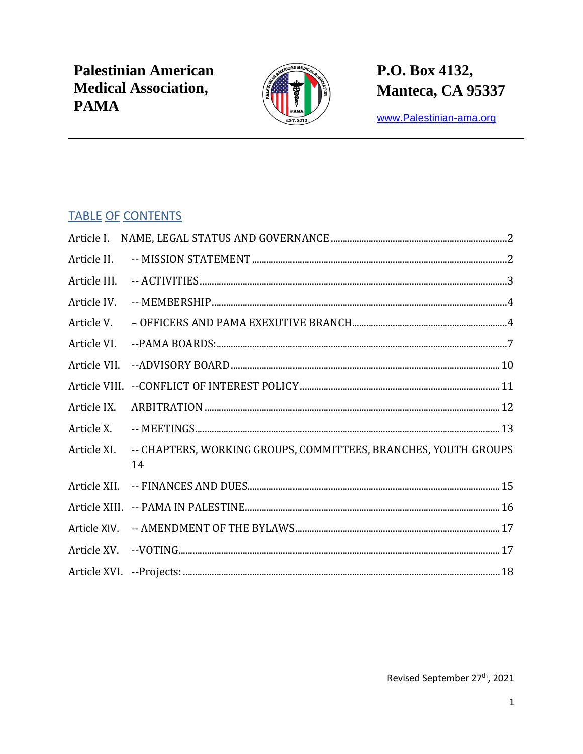

# P.O. Box 4132, Manteca, CA 95337

www.Palestinian-ama.org

#### **TABLE OF CONTENTS**

| Article II.  |                                                                       |
|--------------|-----------------------------------------------------------------------|
| Article III. |                                                                       |
| Article IV.  |                                                                       |
| Article V.   |                                                                       |
| Article VI.  |                                                                       |
| Article VII. |                                                                       |
|              |                                                                       |
| Article IX.  |                                                                       |
| Article X.   |                                                                       |
| Article XI.  | -- CHAPTERS, WORKING GROUPS, COMMITTEES, BRANCHES, YOUTH GROUPS<br>14 |
| Article XII. |                                                                       |
|              |                                                                       |
| Article XIV. |                                                                       |
| Article XV.  |                                                                       |
|              |                                                                       |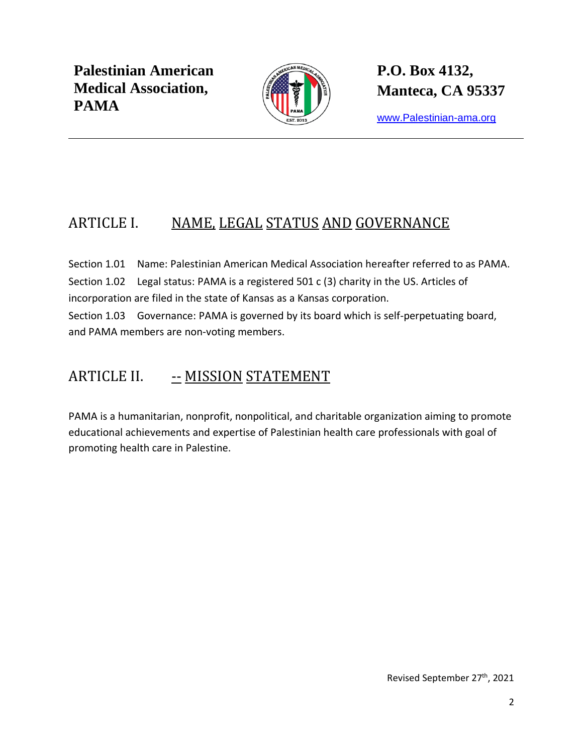

**P.O. Box 4132, Manteca, CA 95337**

[www.Palestinian-ama.org](http://www.palestinian-ama.org/)

## <span id="page-1-0"></span>ARTICLE I. NAME, LEGAL STATUS AND GOVERNANCE

Section 1.01 Name: Palestinian American Medical Association hereafter referred to as PAMA. Section 1.02 Legal status: PAMA is a registered 501 c (3) charity in the US. Articles of incorporation are filed in the state of Kansas as a Kansas corporation.

Section 1.03 Governance: PAMA is governed by its board which is self-perpetuating board, and PAMA members are non-voting members.

#### <span id="page-1-1"></span>ARTICLE II. - MISSION STATEMENT

PAMA is a humanitarian, nonprofit, nonpolitical, and charitable organization aiming to promote educational achievements and expertise of Palestinian health care professionals with goal of promoting health care in Palestine.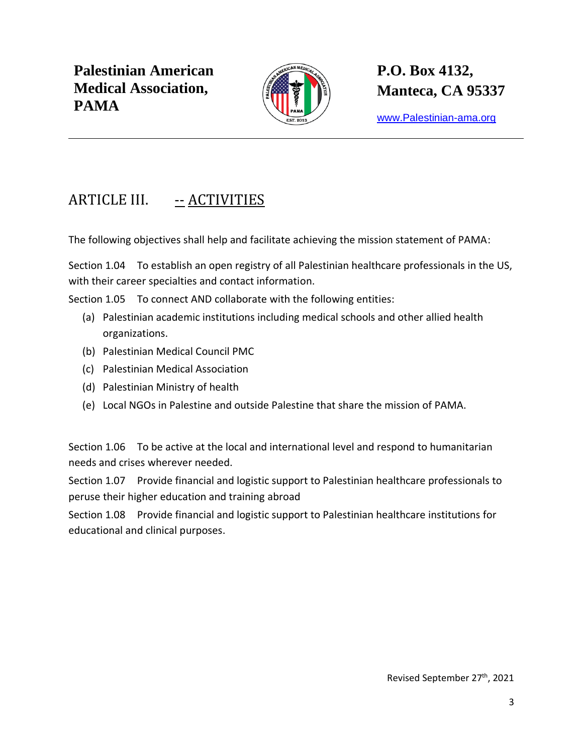

**P.O. Box 4132, Manteca, CA 95337**

[www.Palestinian-ama.org](http://www.palestinian-ama.org/)

## <span id="page-2-0"></span>ARTICLE III. -- ACTIVITIES

The following objectives shall help and facilitate achieving the mission statement of PAMA:

Section 1.04 To establish an open registry of all Palestinian healthcare professionals in the US, with their career specialties and contact information.

Section 1.05 To connect AND collaborate with the following entities:

- (a) Palestinian academic institutions including medical schools and other allied health organizations.
- (b) Palestinian Medical Council PMC
- (c) Palestinian Medical Association
- (d) Palestinian Ministry of health
- (e) Local NGOs in Palestine and outside Palestine that share the mission of PAMA.

Section 1.06 To be active at the local and international level and respond to humanitarian needs and crises wherever needed.

Section 1.07 Provide financial and logistic support to Palestinian healthcare professionals to peruse their higher education and training abroad

Section 1.08 Provide financial and logistic support to Palestinian healthcare institutions for educational and clinical purposes.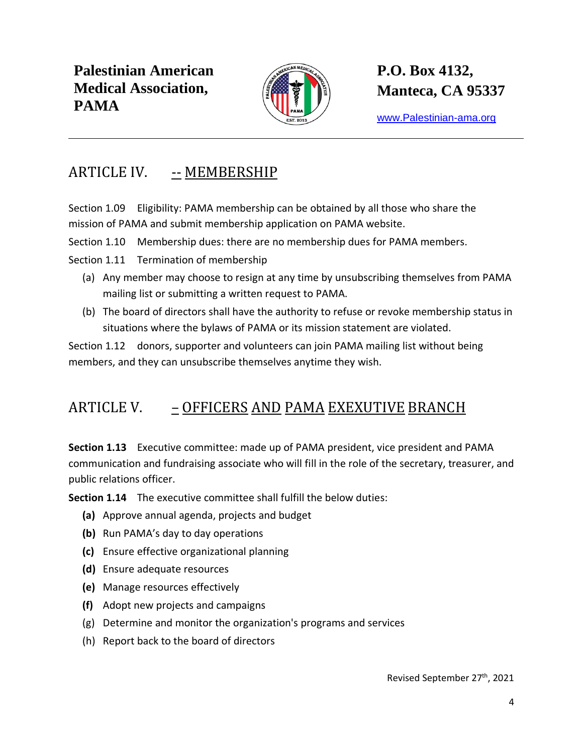

**P.O. Box 4132, Manteca, CA 95337**

[www.Palestinian-ama.org](http://www.palestinian-ama.org/)

#### <span id="page-3-0"></span>ARTICLE IV. -- MEMBERSHIP

Section 1.09 Eligibility: PAMA membership can be obtained by all those who share the mission of PAMA and submit membership application on PAMA website.

Section 1.10 Membership dues: there are no membership dues for PAMA members.

Section 1.11 Termination of membership

- (a) Any member may choose to resign at any time by unsubscribing themselves from PAMA mailing list or submitting a written request to PAMA.
- (b) The board of directors shall have the authority to refuse or revoke membership status in situations where the bylaws of PAMA or its mission statement are violated.

Section 1.12 donors, supporter and volunteers can join PAMA mailing list without being members, and they can unsubscribe themselves anytime they wish.

#### <span id="page-3-1"></span>ARTICLE V. – OFFICERS AND PAMA EXEXUTIVE BRANCH

**Section 1.13** Executive committee: made up of PAMA president, vice president and PAMA communication and fundraising associate who will fill in the role of the secretary, treasurer, and public relations officer.

**Section 1.14** The executive committee shall fulfill the below duties:

- **(a)** Approve annual agenda, projects and budget
- **(b)** Run PAMA's day to day operations
- **(c)** Ensure effective organizational planning
- **(d)** Ensure adequate resources
- **(e)** Manage resources effectively
- **(f)** Adopt new projects and campaigns
- (g) Determine and monitor the organization's programs and services
- (h) Report back to the board of directors

Revised September 27th, 2021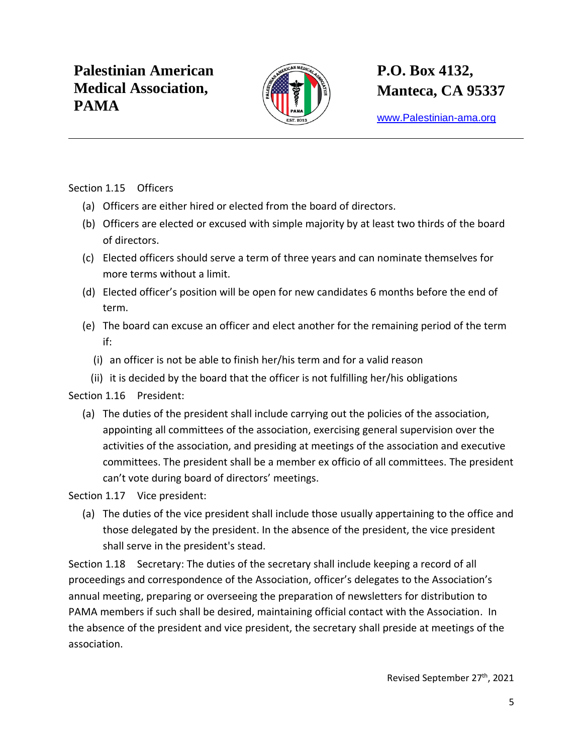

[www.Palestinian-ama.org](http://www.palestinian-ama.org/)

Section 1.15 Officers

- (a) Officers are either hired or elected from the board of directors.
- (b) Officers are elected or excused with simple majority by at least two thirds of the board of directors.
- (c) Elected officers should serve a term of three years and can nominate themselves for more terms without a limit.
- (d) Elected officer's position will be open for new candidates 6 months before the end of term.
- (e) The board can excuse an officer and elect another for the remaining period of the term if:
	- (i) an officer is not be able to finish her/his term and for a valid reason
	- (ii) it is decided by the board that the officer is not fulfilling her/his obligations

Section 1.16 President:

(a) The duties of the president shall include carrying out the policies of the association, appointing all committees of the association, exercising general supervision over the activities of the association, and presiding at meetings of the association and executive committees. The president shall be a member ex officio of all committees. The president can't vote during board of directors' meetings.

Section 1.17 Vice president:

(a) The duties of the vice president shall include those usually appertaining to the office and those delegated by the president. In the absence of the president, the vice president shall serve in the president's stead.

Section 1.18 Secretary: The duties of the secretary shall include keeping a record of all proceedings and correspondence of the Association, officer's delegates to the Association's annual meeting, preparing or overseeing the preparation of newsletters for distribution to PAMA members if such shall be desired, maintaining official contact with the Association. In the absence of the president and vice president, the secretary shall preside at meetings of the association.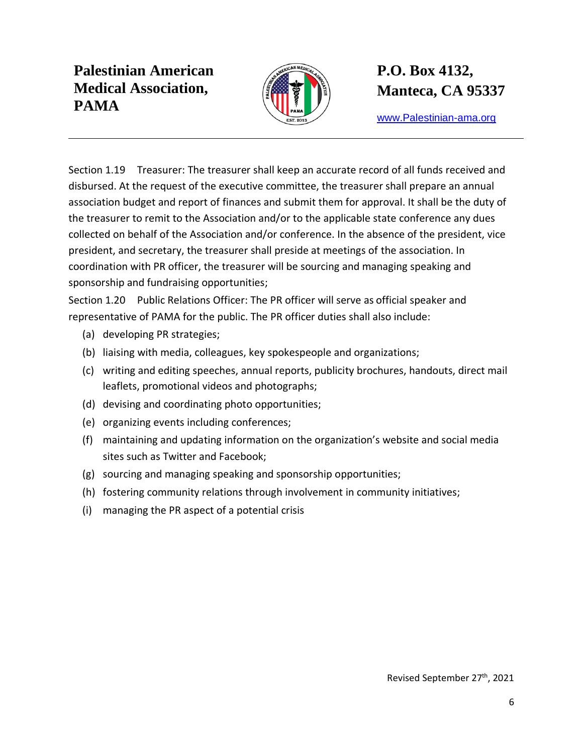

# **P.O. Box 4132, Manteca, CA 95337**

[www.Palestinian-ama.org](http://www.palestinian-ama.org/)

Section 1.19 Treasurer: The treasurer shall keep an accurate record of all funds received and disbursed. At the request of the executive committee, the treasurer shall prepare an annual association budget and report of finances and submit them for approval. It shall be the duty of the treasurer to remit to the Association and/or to the applicable state conference any dues collected on behalf of the Association and/or conference. In the absence of the president, vice president, and secretary, the treasurer shall preside at meetings of the association. In coordination with PR officer, the treasurer will be sourcing and managing speaking and sponsorship and fundraising opportunities;

Section 1.20 Public Relations Officer: The PR officer will serve as official speaker and representative of PAMA for the public. The PR officer duties shall also include:

- (a) developing PR strategies;
- (b) liaising with media, colleagues, key spokespeople and organizations;
- (c) writing and editing speeches, annual reports, publicity brochures, handouts, direct mail leaflets, promotional videos and photographs;
- (d) devising and coordinating photo opportunities;
- (e) organizing events including conferences;
- (f) maintaining and updating information on the organization's website and social media sites such as Twitter and Facebook;
- (g) sourcing and managing speaking and sponsorship opportunities;
- (h) fostering community relations through involvement in community initiatives;
- (i) managing the PR aspect of a potential crisis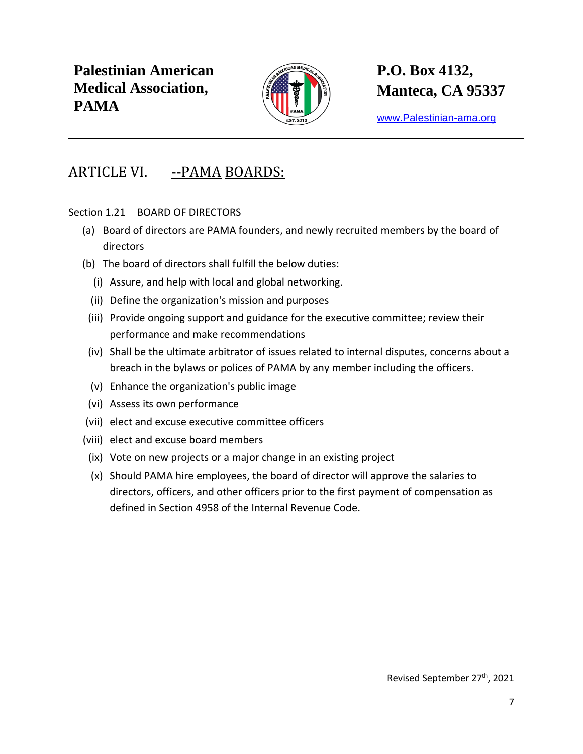

[www.Palestinian-ama.org](http://www.palestinian-ama.org/)

#### <span id="page-6-0"></span>ARTICLE VI. --PAMA BOARDS:

Section 1.21 BOARD OF DIRECTORS

- (a) Board of directors are PAMA founders, and newly recruited members by the board of directors
- (b) The board of directors shall fulfill the below duties:
	- (i) Assure, and help with local and global networking.
	- (ii) Define the organization's mission and purposes
- (iii) Provide ongoing support and guidance for the executive committee; review their performance and make recommendations
- (iv) Shall be the ultimate arbitrator of issues related to internal disputes, concerns about a breach in the bylaws or polices of PAMA by any member including the officers.
- (v) Enhance the organization's public image
- (vi) Assess its own performance
- (vii) elect and excuse executive committee officers
- (viii) elect and excuse board members
- (ix) Vote on new projects or a major change in an existing project
- (x) Should PAMA hire employees, the board of director will approve the salaries to directors, officers, and other officers prior to the first payment of compensation as defined in Section 4958 of the Internal Revenue Code.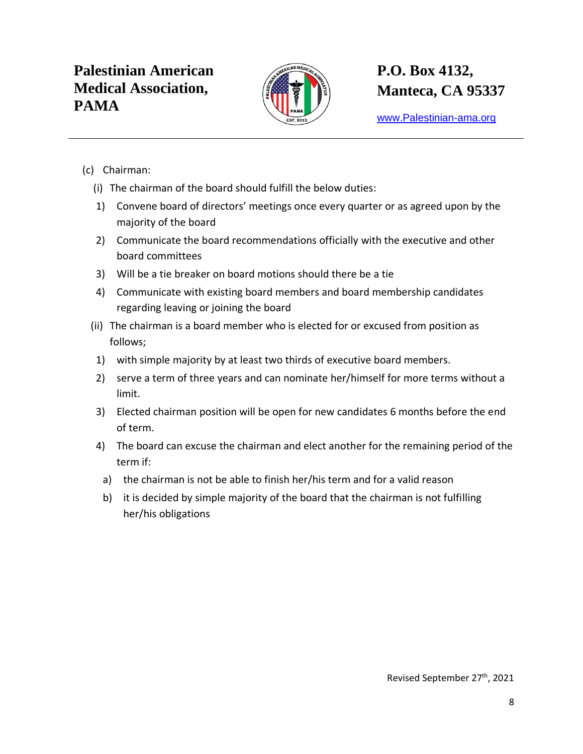

[www.Palestinian-ama.org](http://www.palestinian-ama.org/)

- (c) Chairman:
	- (i) The chairman of the board should fulfill the below duties:
	- 1) Convene board of directors' meetings once every quarter or as agreed upon by the majority of the board
	- 2) Communicate the board recommendations officially with the executive and other board committees
	- 3) Will be a tie breaker on board motions should there be a tie
	- 4) Communicate with existing board members and board membership candidates regarding leaving or joining the board
	- (ii) The chairman is a board member who is elected for or excused from position as follows;
	- 1) with simple majority by at least two thirds of executive board members.
	- 2) serve a term of three years and can nominate her/himself for more terms without a limit.
	- 3) Elected chairman position will be open for new candidates 6 months before the end of term.
	- 4) The board can excuse the chairman and elect another for the remaining period of the term if:
		- a) the chairman is not be able to finish her/his term and for a valid reason
		- b) it is decided by simple majority of the board that the chairman is not fulfilling her/his obligations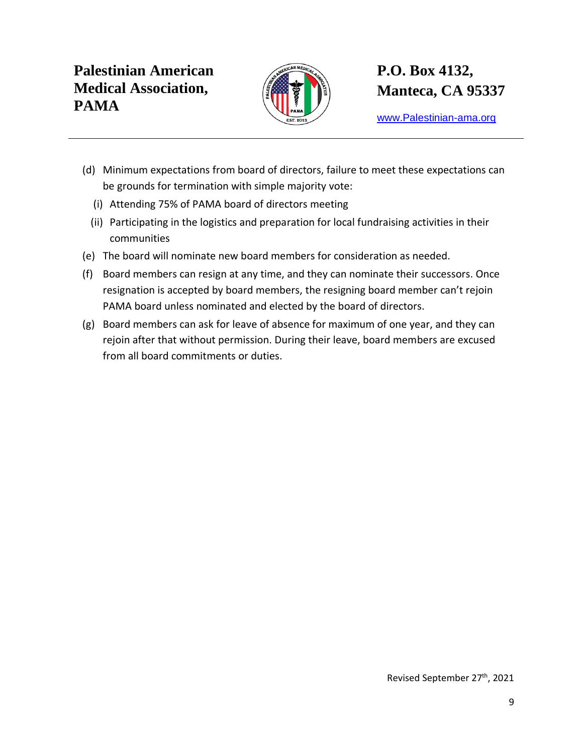

[www.Palestinian-ama.org](http://www.palestinian-ama.org/)

- (d) Minimum expectations from board of directors, failure to meet these expectations can be grounds for termination with simple majority vote:
	- (i) Attending 75% of PAMA board of directors meeting
	- (ii) Participating in the logistics and preparation for local fundraising activities in their communities
- (e) The board will nominate new board members for consideration as needed.
- (f) Board members can resign at any time, and they can nominate their successors. Once resignation is accepted by board members, the resigning board member can't rejoin PAMA board unless nominated and elected by the board of directors.
- (g) Board members can ask for leave of absence for maximum of one year, and they can rejoin after that without permission. During their leave, board members are excused from all board commitments or duties.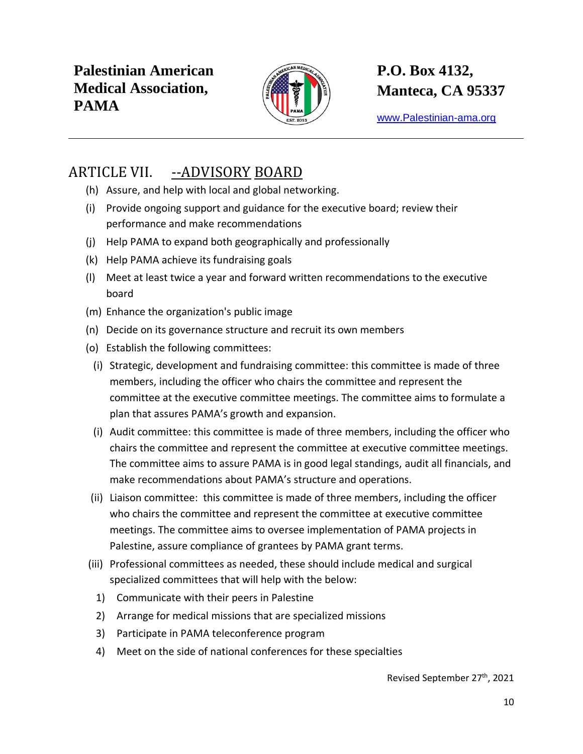

[www.Palestinian-ama.org](http://www.palestinian-ama.org/)

### <span id="page-9-0"></span>ARTICLE VII. --ADVISORY BOARD

- (h) Assure, and help with local and global networking.
- (i) Provide ongoing support and guidance for the executive board; review their performance and make recommendations
- (j) Help PAMA to expand both geographically and professionally
- (k) Help PAMA achieve its fundraising goals
- (l) Meet at least twice a year and forward written recommendations to the executive board
- (m) Enhance the organization's public image
- (n) Decide on its governance structure and recruit its own members
- (o) Establish the following committees:
	- (i) Strategic, development and fundraising committee: this committee is made of three members, including the officer who chairs the committee and represent the committee at the executive committee meetings. The committee aims to formulate a plan that assures PAMA's growth and expansion.
	- (i) Audit committee: this committee is made of three members, including the officer who chairs the committee and represent the committee at executive committee meetings. The committee aims to assure PAMA is in good legal standings, audit all financials, and make recommendations about PAMA's structure and operations.
- (ii) Liaison committee: this committee is made of three members, including the officer who chairs the committee and represent the committee at executive committee meetings. The committee aims to oversee implementation of PAMA projects in Palestine, assure compliance of grantees by PAMA grant terms.
- (iii) Professional committees as needed, these should include medical and surgical specialized committees that will help with the below:
	- 1) Communicate with their peers in Palestine
	- 2) Arrange for medical missions that are specialized missions
	- 3) Participate in PAMA teleconference program
	- 4) Meet on the side of national conferences for these specialties

Revised September 27th, 2021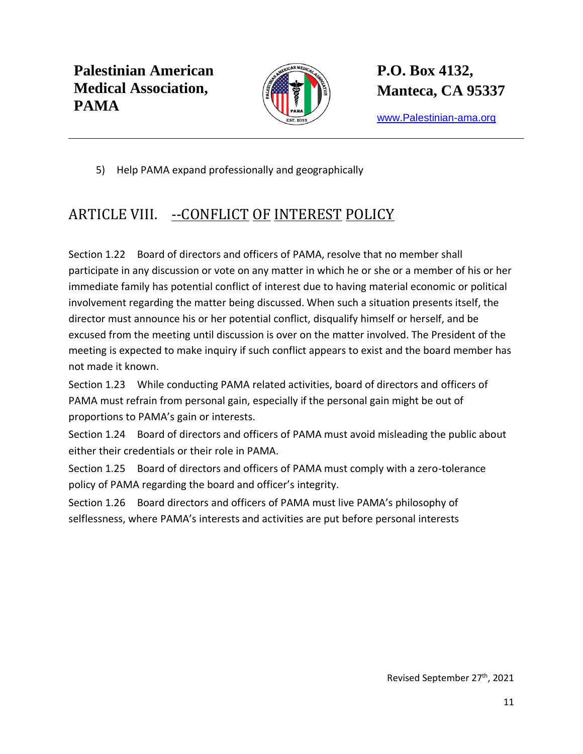

**P.O. Box 4132, Manteca, CA 95337**

[www.Palestinian-ama.org](http://www.palestinian-ama.org/)

5) Help PAMA expand professionally and geographically

## <span id="page-10-0"></span>ARTICLE VIII. -- CONFLICT OF INTEREST POLICY

Section 1.22 Board of directors and officers of PAMA, resolve that no member shall participate in any discussion or vote on any matter in which he or she or a member of his or her immediate family has potential conflict of interest due to having material economic or political involvement regarding the matter being discussed. When such a situation presents itself, the director must announce his or her potential conflict, disqualify himself or herself, and be excused from the meeting until discussion is over on the matter involved. The President of the meeting is expected to make inquiry if such conflict appears to exist and the board member has not made it known.

Section 1.23 While conducting PAMA related activities, board of directors and officers of PAMA must refrain from personal gain, especially if the personal gain might be out of proportions to PAMA's gain or interests.

Section 1.24 Board of directors and officers of PAMA must avoid misleading the public about either their credentials or their role in PAMA.

Section 1.25 Board of directors and officers of PAMA must comply with a zero-tolerance policy of PAMA regarding the board and officer's integrity.

Section 1.26 Board directors and officers of PAMA must live PAMA's philosophy of selflessness, where PAMA's interests and activities are put before personal interests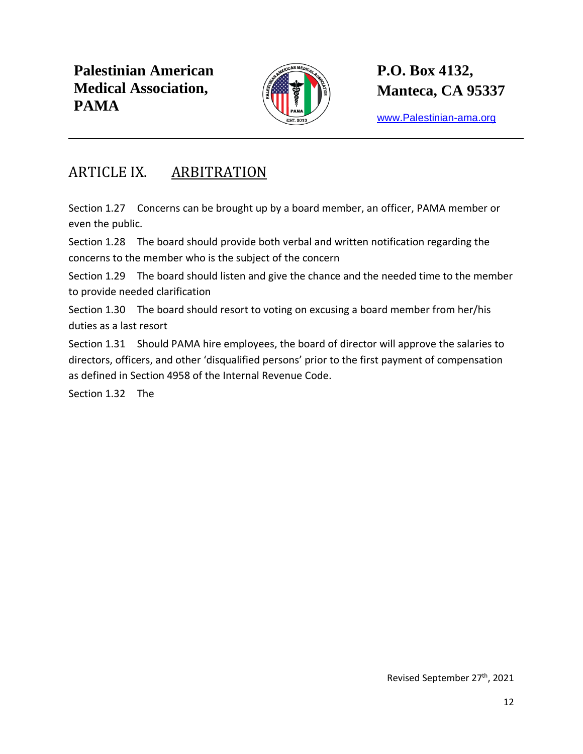

**P.O. Box 4132, Manteca, CA 95337**

[www.Palestinian-ama.org](http://www.palestinian-ama.org/)

#### <span id="page-11-0"></span>ARTICLE IX. ARBITRATION

Section 1.27 Concerns can be brought up by a board member, an officer, PAMA member or even the public.

Section 1.28 The board should provide both verbal and written notification regarding the concerns to the member who is the subject of the concern

Section 1.29 The board should listen and give the chance and the needed time to the member to provide needed clarification

Section 1.30 The board should resort to voting on excusing a board member from her/his duties as a last resort

Section 1.31 Should PAMA hire employees, the board of director will approve the salaries to directors, officers, and other 'disqualified persons' prior to the first payment of compensation as defined in Section 4958 of the Internal Revenue Code.

Section 1.32 The

Revised September 27th, 2021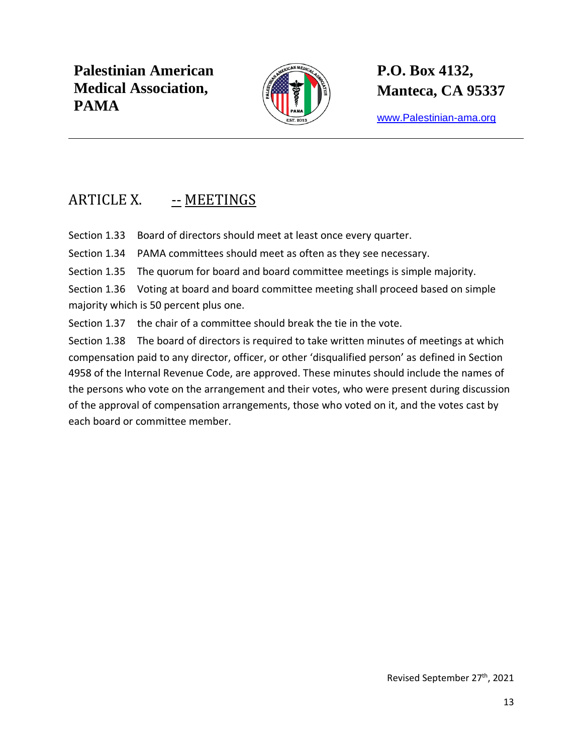

**P.O. Box 4132, Manteca, CA 95337**

[www.Palestinian-ama.org](http://www.palestinian-ama.org/)

## <span id="page-12-0"></span>ARTICLE X. -- MEETINGS

Section 1.33 Board of directors should meet at least once every quarter.

Section 1.34 PAMA committees should meet as often as they see necessary.

Section 1.35 The quorum for board and board committee meetings is simple majority.

Section 1.36 Voting at board and board committee meeting shall proceed based on simple majority which is 50 percent plus one.

Section 1.37 the chair of a committee should break the tie in the vote.

Section 1.38 The board of directors is required to take written minutes of meetings at which compensation paid to any director, officer, or other 'disqualified person' as defined in Section 4958 of the Internal Revenue Code, are approved. These minutes should include the names of the persons who vote on the arrangement and their votes, who were present during discussion of the approval of compensation arrangements, those who voted on it, and the votes cast by each board or committee member.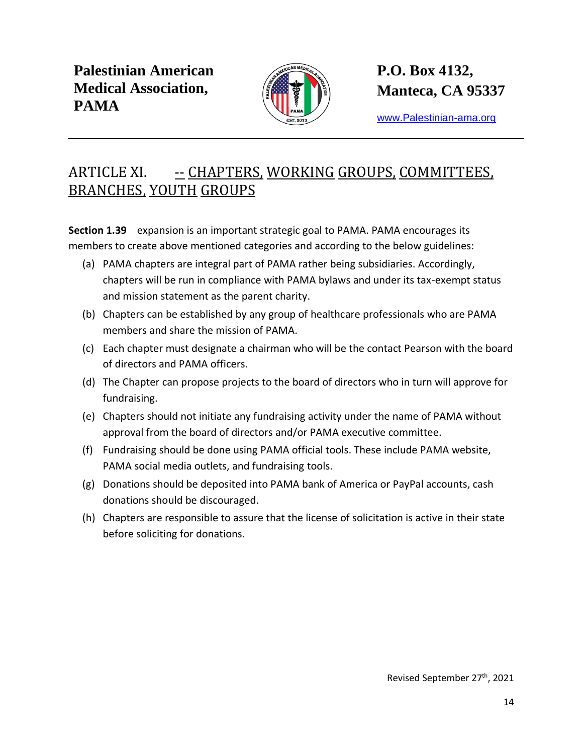

**P.O. Box 4132, Manteca, CA 95337**

[www.Palestinian-ama.org](http://www.palestinian-ama.org/)

### <span id="page-13-0"></span>ARTICLE XI. - CHAPTERS, WORKING GROUPS, COMMITTEES, BRANCHES, YOUTH GROUPS

**Section 1.39** expansion is an important strategic goal to PAMA. PAMA encourages its members to create above mentioned categories and according to the below guidelines:

- (a) PAMA chapters are integral part of PAMA rather being subsidiaries. Accordingly, chapters will be run in compliance with PAMA bylaws and under its tax-exempt status and mission statement as the parent charity.
- (b) Chapters can be established by any group of healthcare professionals who are PAMA members and share the mission of PAMA.
- (c) Each chapter must designate a chairman who will be the contact Pearson with the board of directors and PAMA officers.
- (d) The Chapter can propose projects to the board of directors who in turn will approve for fundraising.
- (e) Chapters should not initiate any fundraising activity under the name of PAMA without approval from the board of directors and/or PAMA executive committee.
- (f) Fundraising should be done using PAMA official tools. These include PAMA website, PAMA social media outlets, and fundraising tools.
- (g) Donations should be deposited into PAMA bank of America or PayPal accounts, cash donations should be discouraged.
- (h) Chapters are responsible to assure that the license of solicitation is active in their state before soliciting for donations.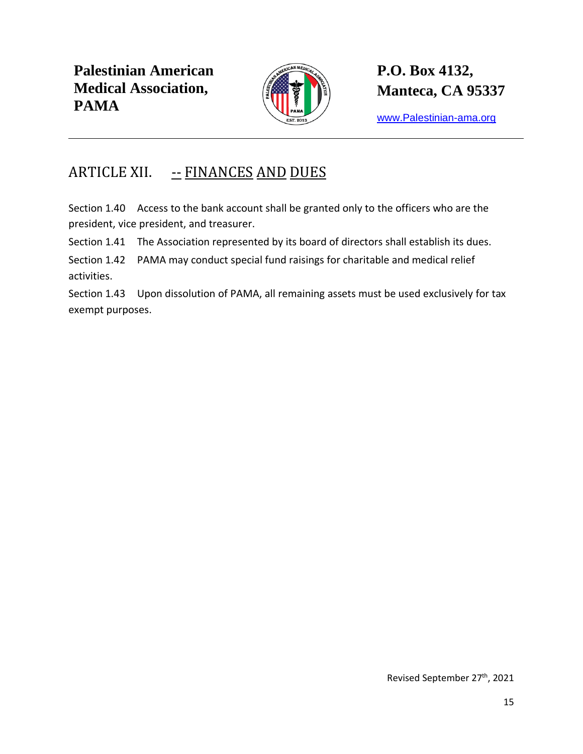

## **P.O. Box 4132, Manteca, CA 95337**

[www.Palestinian-ama.org](http://www.palestinian-ama.org/)

### <span id="page-14-0"></span>ARTICLE XII. -- FINANCES AND DUES

Section 1.40 Access to the bank account shall be granted only to the officers who are the president, vice president, and treasurer.

Section 1.41 The Association represented by its board of directors shall establish its dues.

Section 1.42 PAMA may conduct special fund raisings for charitable and medical relief activities.

Section 1.43 Upon dissolution of PAMA, all remaining assets must be used exclusively for tax exempt purposes.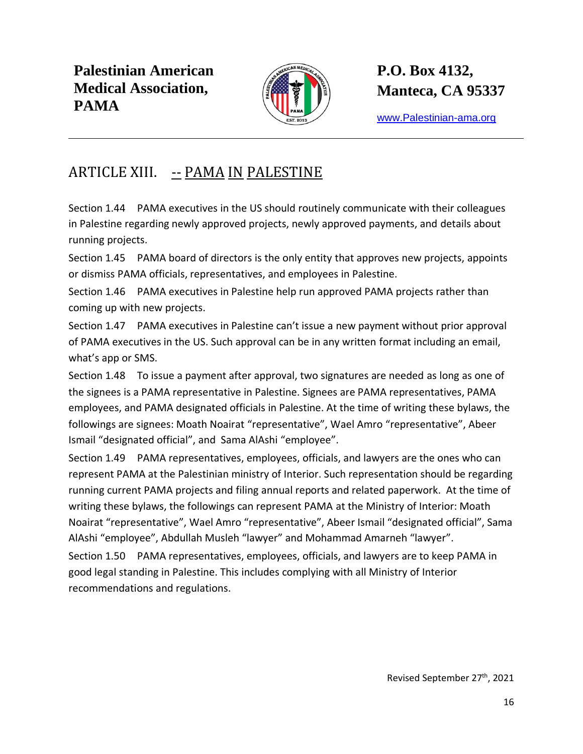

**P.O. Box 4132, Manteca, CA 95337**

[www.Palestinian-ama.org](http://www.palestinian-ama.org/)

#### <span id="page-15-0"></span>ARTICLE XIII. -- PAMA IN PALESTINE

Section 1.44 PAMA executives in the US should routinely communicate with their colleagues in Palestine regarding newly approved projects, newly approved payments, and details about running projects.

Section 1.45 PAMA board of directors is the only entity that approves new projects, appoints or dismiss PAMA officials, representatives, and employees in Palestine.

Section 1.46 PAMA executives in Palestine help run approved PAMA projects rather than coming up with new projects.

Section 1.47 PAMA executives in Palestine can't issue a new payment without prior approval of PAMA executives in the US. Such approval can be in any written format including an email, what's app or SMS.

Section 1.48 To issue a payment after approval, two signatures are needed as long as one of the signees is a PAMA representative in Palestine. Signees are PAMA representatives, PAMA employees, and PAMA designated officials in Palestine. At the time of writing these bylaws, the followings are signees: Moath Noairat "representative", Wael Amro "representative", Abeer Ismail "designated official", and Sama AlAshi "employee".

Section 1.49 PAMA representatives, employees, officials, and lawyers are the ones who can represent PAMA at the Palestinian ministry of Interior. Such representation should be regarding running current PAMA projects and filing annual reports and related paperwork. At the time of writing these bylaws, the followings can represent PAMA at the Ministry of Interior: Moath Noairat "representative", Wael Amro "representative", Abeer Ismail "designated official", Sama AlAshi "employee", Abdullah Musleh "lawyer" and Mohammad Amarneh "lawyer". Section 1.50 PAMA representatives, employees, officials, and lawyers are to keep PAMA in good legal standing in Palestine. This includes complying with all Ministry of Interior recommendations and regulations.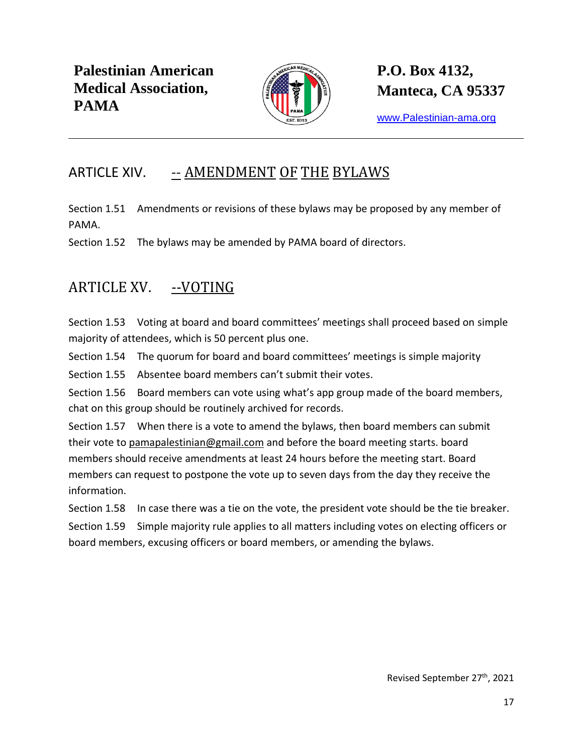

[www.Palestinian-ama.org](http://www.palestinian-ama.org/)

### <span id="page-16-0"></span>ARTICLE XIV. -- AMENDMENT OF THE BYLAWS

Section 1.51 Amendments or revisions of these bylaws may be proposed by any member of PAMA.

Section 1.52 The bylaws may be amended by PAMA board of directors.

### <span id="page-16-1"></span>ARTICLE XV. --VOTING

Section 1.53 Voting at board and board committees' meetings shall proceed based on simple majority of attendees, which is 50 percent plus one.

Section 1.54 The quorum for board and board committees' meetings is simple majority

Section 1.55 Absentee board members can't submit their votes.

Section 1.56 Board members can vote using what's app group made of the board members, chat on this group should be routinely archived for records.

Section 1.57 When there is a vote to amend the bylaws, then board members can submit their vote to [pamapalestinian@gmail.com](mailto:pamapalestinian@gmail.com) and before the board meeting starts. board members should receive amendments at least 24 hours before the meeting start. Board members can request to postpone the vote up to seven days from the day they receive the information.

Section 1.58 In case there was a tie on the vote, the president vote should be the tie breaker.

Section 1.59 Simple majority rule applies to all matters including votes on electing officers or board members, excusing officers or board members, or amending the bylaws.